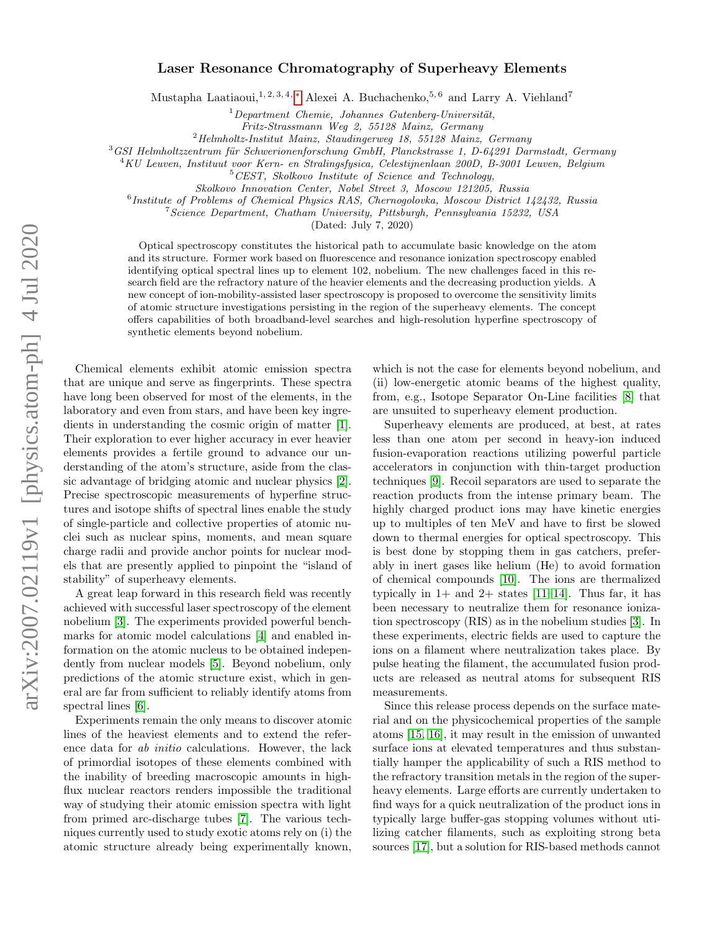## Laser Resonance Chromatography of Superheavy Elements

Mustapha Laatiaoui,<sup>1, 2, 3, 4, \*</sup> Alexei A. Buchachenko,<sup>5, 6</sup> and Larry A. Viehland<sup>7</sup>

 $1$ Department Chemie, Johannes Gutenberg-Universität,

Fritz-Strassmann Weg 2, 55128 Mainz, Germany

 $^{2}$ Helmholtz-Institut Mainz, Staudingerweg 18, 55128 Mainz, Germany

 $3$ GSI Helmholtzzentrum für Schwerionenforschung GmbH, Planckstrasse 1, D-64291 Darmstadt, Germany

 $^{4}$ KU Leuven, Instituut voor Kern- en Stralingsfysica, Celestijnenlaan 200D, B-3001 Leuven, Belgium

<sup>5</sup>CEST, Skolkovo Institute of Science and Technology,

Skolkovo Innovation Center, Nobel Street 3, Moscow 121205, Russia

<sup>6</sup> Institute of Problems of Chemical Physics RAS, Chernogolovka, Moscow District 142432, Russia

<sup>7</sup>Science Department, Chatham University, Pittsburgh, Pennsylvania 15232, USA

(Dated: July 7, 2020)

Optical spectroscopy constitutes the historical path to accumulate basic knowledge on the atom and its structure. Former work based on fluorescence and resonance ionization spectroscopy enabled identifying optical spectral lines up to element 102, nobelium. The new challenges faced in this research field are the refractory nature of the heavier elements and the decreasing production yields. A new concept of ion-mobility-assisted laser spectroscopy is proposed to overcome the sensitivity limits of atomic structure investigations persisting in the region of the superheavy elements. The concept offers capabilities of both broadband-level searches and high-resolution hyperfine spectroscopy of synthetic elements beyond nobelium.

Chemical elements exhibit atomic emission spectra that are unique and serve as fingerprints. These spectra have long been observed for most of the elements, in the laboratory and even from stars, and have been key ingredients in understanding the cosmic origin of matter [\[1\]](#page-4-1). Their exploration to ever higher accuracy in ever heavier elements provides a fertile ground to advance our understanding of the atom's structure, aside from the classic advantage of bridging atomic and nuclear physics [\[2\]](#page-4-2). Precise spectroscopic measurements of hyperfine structures and isotope shifts of spectral lines enable the study of single-particle and collective properties of atomic nuclei such as nuclear spins, moments, and mean square charge radii and provide anchor points for nuclear models that are presently applied to pinpoint the "island of stability" of superheavy elements.

A great leap forward in this research field was recently achieved with successful laser spectroscopy of the element nobelium [\[3\]](#page-4-3). The experiments provided powerful benchmarks for atomic model calculations [\[4\]](#page-4-4) and enabled information on the atomic nucleus to be obtained independently from nuclear models [\[5\]](#page-4-5). Beyond nobelium, only predictions of the atomic structure exist, which in general are far from sufficient to reliably identify atoms from spectral lines [\[6\]](#page-4-6).

Experiments remain the only means to discover atomic lines of the heaviest elements and to extend the reference data for ab initio calculations. However, the lack of primordial isotopes of these elements combined with the inability of breeding macroscopic amounts in highflux nuclear reactors renders impossible the traditional way of studying their atomic emission spectra with light from primed arc-discharge tubes [\[7\]](#page-4-7). The various techniques currently used to study exotic atoms rely on (i) the atomic structure already being experimentally known,

which is not the case for elements beyond nobelium, and (ii) low-energetic atomic beams of the highest quality, from, e.g., Isotope Separator On-Line facilities [\[8\]](#page-4-8) that are unsuited to superheavy element production.

Superheavy elements are produced, at best, at rates less than one atom per second in heavy-ion induced fusion-evaporation reactions utilizing powerful particle accelerators in conjunction with thin-target production techniques [\[9\]](#page-4-9). Recoil separators are used to separate the reaction products from the intense primary beam. The highly charged product ions may have kinetic energies up to multiples of ten MeV and have to first be slowed down to thermal energies for optical spectroscopy. This is best done by stopping them in gas catchers, preferably in inert gases like helium (He) to avoid formation of chemical compounds [\[10\]](#page-4-10). The ions are thermalized typically in  $1+$  and  $2+$  states [\[11–](#page-4-11)[14\]](#page-4-12). Thus far, it has been necessary to neutralize them for resonance ionization spectroscopy (RIS) as in the nobelium studies [\[3\]](#page-4-3). In these experiments, electric fields are used to capture the ions on a filament where neutralization takes place. By pulse heating the filament, the accumulated fusion products are released as neutral atoms for subsequent RIS measurements.

Since this release process depends on the surface material and on the physicochemical properties of the sample atoms [\[15,](#page-4-13) [16\]](#page-4-14), it may result in the emission of unwanted surface ions at elevated temperatures and thus substantially hamper the applicability of such a RIS method to the refractory transition metals in the region of the superheavy elements. Large efforts are currently undertaken to find ways for a quick neutralization of the product ions in typically large buffer-gas stopping volumes without utilizing catcher filaments, such as exploiting strong beta sources [\[17\]](#page-4-15), but a solution for RIS-based methods cannot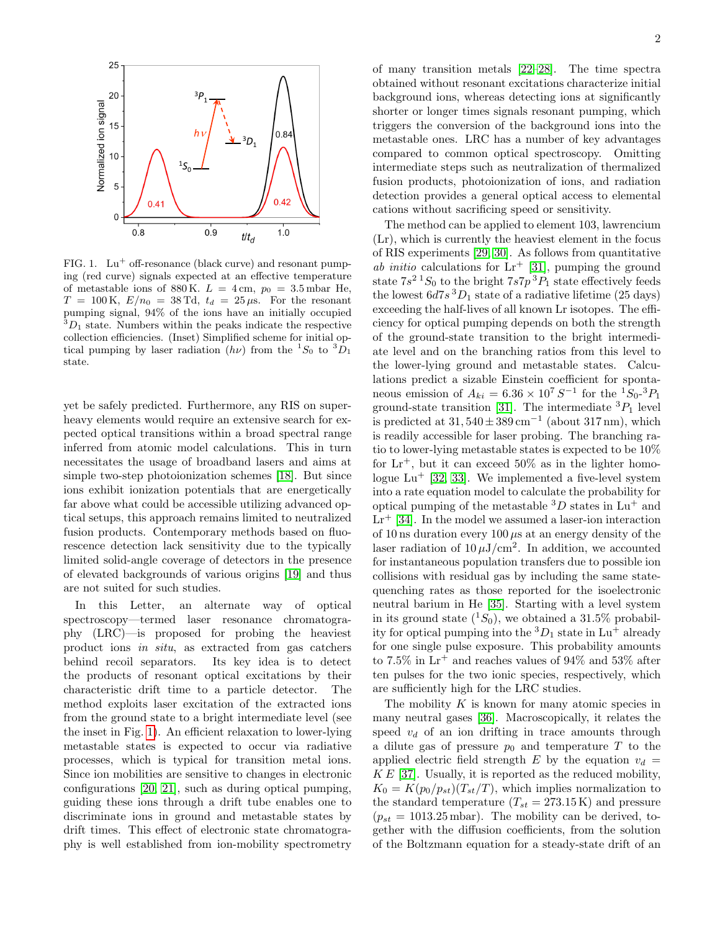

<span id="page-1-0"></span>FIG. 1.  $Lu^+$  off-resonance (black curve) and resonant pumping (red curve) signals expected at an effective temperature of metastable ions of 880 K.  $L = 4 \text{ cm}$ ,  $p_0 = 3.5 \text{ mbar}$  He,  $T = 100 \text{ K}, E/n_0 = 38 \text{ Td}, t_d = 25 \mu \text{s}.$  For the resonant pumping signal, 94% of the ions have an initially occupied  ${}^{3}D_1$  state. Numbers within the peaks indicate the respective collection efficiencies. (Inset) Simplified scheme for initial optical pumping by laser radiation  $(h\nu)$  from the  ${}^{1}S_{0}$  to  ${}^{3}D_{1}$ state.

yet be safely predicted. Furthermore, any RIS on superheavy elements would require an extensive search for expected optical transitions within a broad spectral range inferred from atomic model calculations. This in turn necessitates the usage of broadband lasers and aims at simple two-step photoionization schemes [\[18\]](#page-4-16). But since ions exhibit ionization potentials that are energetically far above what could be accessible utilizing advanced optical setups, this approach remains limited to neutralized fusion products. Contemporary methods based on fluorescence detection lack sensitivity due to the typically limited solid-angle coverage of detectors in the presence of elevated backgrounds of various origins [\[19\]](#page-4-17) and thus are not suited for such studies.

In this Letter, an alternate way of optical spectroscopy—termed laser resonance chromatography (LRC)—is proposed for probing the heaviest product ions in situ, as extracted from gas catchers behind recoil separators. Its key idea is to detect the products of resonant optical excitations by their characteristic drift time to a particle detector. The method exploits laser excitation of the extracted ions from the ground state to a bright intermediate level (see the inset in Fig. [1\)](#page-1-0). An efficient relaxation to lower-lying metastable states is expected to occur via radiative processes, which is typical for transition metal ions. Since ion mobilities are sensitive to changes in electronic configurations [\[20,](#page-4-18) [21\]](#page-4-19), such as during optical pumping, guiding these ions through a drift tube enables one to discriminate ions in ground and metastable states by drift times. This effect of electronic state chromatography is well established from ion-mobility spectrometry

of many transition metals [\[22–](#page-4-20)[28\]](#page-5-0). The time spectra obtained without resonant excitations characterize initial background ions, whereas detecting ions at significantly shorter or longer times signals resonant pumping, which triggers the conversion of the background ions into the metastable ones. LRC has a number of key advantages compared to common optical spectroscopy. Omitting intermediate steps such as neutralization of thermalized fusion products, photoionization of ions, and radiation detection provides a general optical access to elemental cations without sacrificing speed or sensitivity.

The method can be applied to element 103, lawrencium (Lr), which is currently the heaviest element in the focus of RIS experiments [\[29,](#page-5-1) [30\]](#page-5-2). As follows from quantitative ab initio calculations for  $Lr^{+}$  [\[31\]](#page-5-3), pumping the ground state  $7s^2$  <sup>1</sup> $S_0$  to the bright  $7s7p^3P_1$  state effectively feeds the lowest  $6d7s^3D_1$  state of a radiative lifetime (25 days) exceeding the half-lives of all known Lr isotopes. The efficiency for optical pumping depends on both the strength of the ground-state transition to the bright intermediate level and on the branching ratios from this level to the lower-lying ground and metastable states. Calculations predict a sizable Einstein coefficient for spontaneous emission of  $A_{ki} = 6.36 \times 10^7 S^{-1}$  for the  ${}^{1}S_{0}$ - ${}^{3}P_{1}$ ground-state transition [\[31\]](#page-5-3). The intermediate  ${}^{3}P_{1}$  level is predicted at  $31,540 \pm 389 \,\mathrm{cm}^{-1}$  (about  $317 \,\mathrm{nm}$ ), which is readily accessible for laser probing. The branching ratio to lower-lying metastable states is expected to be 10% for  $Lr^+$ , but it can exceed 50% as in the lighter homologue  $Lu^+$  [\[32,](#page-5-4) [33\]](#page-5-5). We implemented a five-level system into a rate equation model to calculate the probability for optical pumping of the metastable  ${}^{3}D$  states in Lu<sup>+</sup> and  $Lr^+$  [\[34\]](#page-5-6). In the model we assumed a laser-ion interaction of 10 ns duration every  $100 \mu s$  at an energy density of the laser radiation of  $10 \,\mu\text{J/cm}^2$ . In addition, we accounted for instantaneous population transfers due to possible ion collisions with residual gas by including the same statequenching rates as those reported for the isoelectronic neutral barium in He [\[35\]](#page-5-7). Starting with a level system in its ground state  $(^{1}S_{0})$ , we obtained a 31.5% probability for optical pumping into the  ${}^3D_1$  state in Lu<sup>+</sup> already for one single pulse exposure. This probability amounts to 7.5% in  $Lr^+$  and reaches values of 94% and 53% after ten pulses for the two ionic species, respectively, which are sufficiently high for the LRC studies.

The mobility  $K$  is known for many atomic species in many neutral gases [\[36\]](#page-5-8). Macroscopically, it relates the speed  $v_d$  of an ion drifting in trace amounts through a dilute gas of pressure  $p_0$  and temperature T to the applied electric field strength E by the equation  $v_d$  =  $KE$  [\[37\]](#page-5-9). Usually, it is reported as the reduced mobility,  $K_0 = K(p_0/p_{st})(T_{st}/T)$ , which implies normalization to the standard temperature  $(T_{st} = 273.15 \text{ K})$  and pressure  $(p_{st} = 1013.25 \text{ mbar}).$  The mobility can be derived, together with the diffusion coefficients, from the solution of the Boltzmann equation for a steady-state drift of an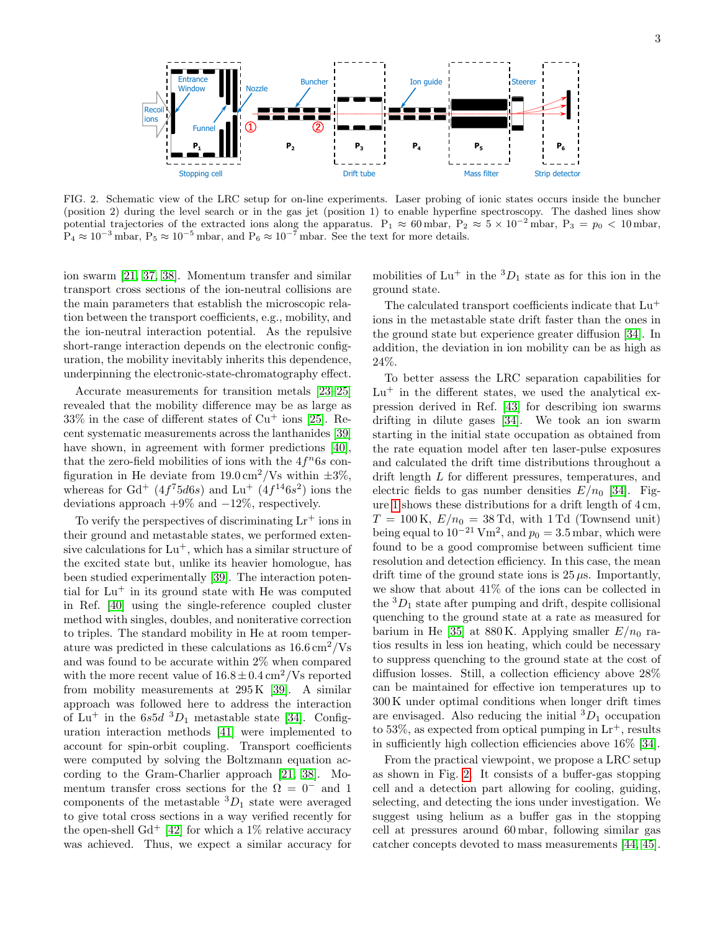

<span id="page-2-0"></span>FIG. 2. Schematic view of the LRC setup for on-line experiments. Laser probing of ionic states occurs inside the buncher (position 2) during the level search or in the gas jet (position 1) to enable hyperfine spectroscopy. The dashed lines show potential trajectories of the extracted ions along the apparatus. P<sub>1</sub>  $\approx 60$  mbar, P<sub>2</sub>  $\approx 5 \times 10^{-2}$  mbar, P<sub>3</sub> =  $p_0 < 10$  mbar,  $P_4 \approx 10^{-3}$  mbar,  $P_5 \approx 10^{-5}$  mbar, and  $P_6 \approx 10^{-7}$  mbar. See the text for more details.

ion swarm [\[21,](#page-4-19) [37,](#page-5-9) [38\]](#page-5-10). Momentum transfer and similar transport cross sections of the ion-neutral collisions are the main parameters that establish the microscopic relation between the transport coefficients, e.g., mobility, and the ion-neutral interaction potential. As the repulsive short-range interaction depends on the electronic configuration, the mobility inevitably inherits this dependence, underpinning the electronic-state-chromatography effect.

Accurate measurements for transition metals [\[23](#page-4-21)[–25\]](#page-5-11) revealed that the mobility difference may be as large as  $33\%$  in the case of different states of  $Cu<sup>+</sup>$  ions [\[25\]](#page-5-11). Recent systematic measurements across the lanthanides [\[39\]](#page-5-12) have shown, in agreement with former predictions [\[40\]](#page-5-13), that the zero-field mobilities of ions with the  $4f^n6s$  configuration in He deviate from  $19.0 \text{ cm}^2/\text{Vs}$  within  $\pm 3\%$ , whereas for  $Gd^+$  ( $4f^75d6s$ ) and  $Lu^+$  ( $4f^{14}6s^2$ ) ions the deviations approach  $+9\%$  and  $-12\%$ , respectively.

To verify the perspectives of discriminating  $Lr^+$  ions in their ground and metastable states, we performed extensive calculations for  $Lu^+$ , which has a similar structure of the excited state but, unlike its heavier homologue, has been studied experimentally [\[39\]](#page-5-12). The interaction potential for  $Lu^+$  in its ground state with He was computed in Ref. [\[40\]](#page-5-13) using the single-reference coupled cluster method with singles, doubles, and noniterative correction to triples. The standard mobility in He at room temperature was predicted in these calculations as  $16.6 \,\mathrm{cm}^2/\mathrm{Vs}$ and was found to be accurate within 2% when compared with the more recent value of  $16.8 \pm 0.4 \text{ cm}^2/\text{Vs}$  reported from mobility measurements at 295 K [\[39\]](#page-5-12). A similar approach was followed here to address the interaction of Lu<sup>+</sup> in the  $6s5d$  <sup>3</sup>D<sub>1</sub> metastable state [\[34\]](#page-5-6). Configuration interaction methods [\[41\]](#page-5-14) were implemented to account for spin-orbit coupling. Transport coefficients were computed by solving the Boltzmann equation according to the Gram-Charlier approach [\[21,](#page-4-19) [38\]](#page-5-10). Momentum transfer cross sections for the  $\Omega = 0^-$  and 1 components of the metastable  ${}^3D_1$  state were averaged to give total cross sections in a way verified recently for the open-shell  $Gd^+$  [\[42\]](#page-5-15) for which a 1\% relative accuracy was achieved. Thus, we expect a similar accuracy for

mobilities of  $Lu^+$  in the  ${}^3D_1$  state as for this ion in the ground state.

The calculated transport coefficients indicate that  $Lu^+$ ions in the metastable state drift faster than the ones in the ground state but experience greater diffusion [\[34\]](#page-5-6). In addition, the deviation in ion mobility can be as high as 24%.

To better assess the LRC separation capabilities for  $Lu^+$  in the different states, we used the analytical expression derived in Ref. [\[43\]](#page-5-16) for describing ion swarms drifting in dilute gases [\[34\]](#page-5-6). We took an ion swarm starting in the initial state occupation as obtained from the rate equation model after ten laser-pulse exposures and calculated the drift time distributions throughout a drift length L for different pressures, temperatures, and electric fields to gas number densities  $E/n_0$  [\[34\]](#page-5-6). Figure [1](#page-1-0) shows these distributions for a drift length of 4 cm,  $T = 100 \text{ K}, E/n_0 = 38 \text{ Td}, \text{ with } 1 \text{ Td}$  (Townsend unit) being equal to  $10^{-21}$  Vm<sup>2</sup>, and  $p_0 = 3.5$  mbar, which were found to be a good compromise between sufficient time resolution and detection efficiency. In this case, the mean drift time of the ground state ions is  $25 \mu s$ . Importantly, we show that about 41% of the ions can be collected in the  ${}^{3}D_1$  state after pumping and drift, despite collisional quenching to the ground state at a rate as measured for barium in He [\[35\]](#page-5-7) at 880 K. Applying smaller  $E/n_0$  ratios results in less ion heating, which could be necessary to suppress quenching to the ground state at the cost of diffusion losses. Still, a collection efficiency above 28% can be maintained for effective ion temperatures up to 300 K under optimal conditions when longer drift times are envisaged. Also reducing the initial  ${}^{3}D_1$  occupation to 53%, as expected from optical pumping in  $Lr^+$ , results in sufficiently high collection efficiencies above 16% [\[34\]](#page-5-6).

From the practical viewpoint, we propose a LRC setup as shown in Fig. [2.](#page-2-0) It consists of a buffer-gas stopping cell and a detection part allowing for cooling, guiding, selecting, and detecting the ions under investigation. We suggest using helium as a buffer gas in the stopping cell at pressures around 60 mbar, following similar gas catcher concepts devoted to mass measurements [\[44,](#page-5-17) [45\]](#page-5-18).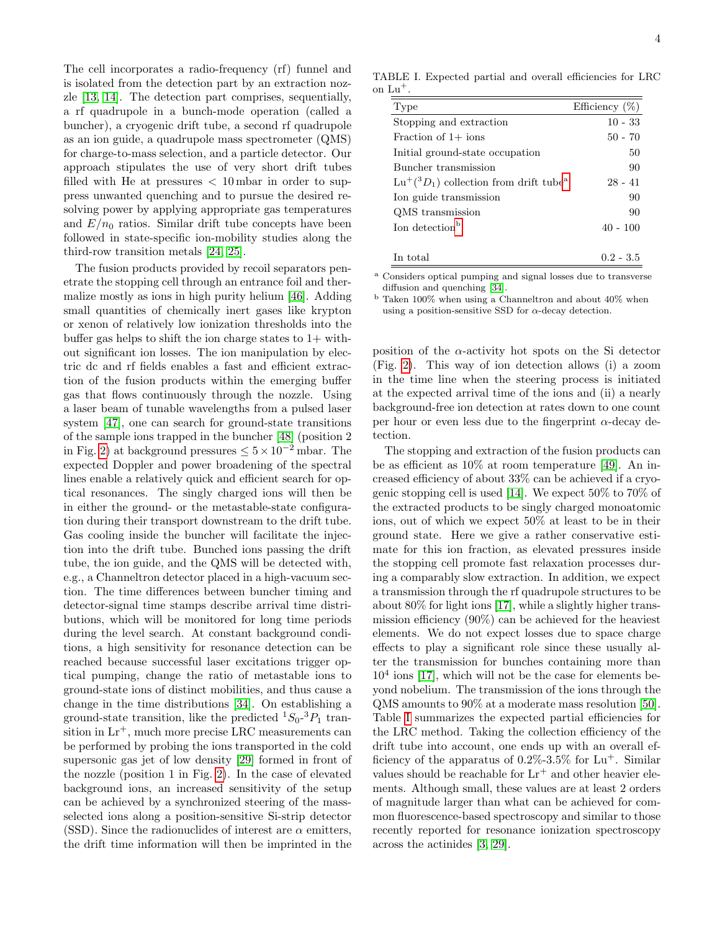The cell incorporates a radio-frequency (rf) funnel and is isolated from the detection part by an extraction nozzle [\[13,](#page-4-22) [14\]](#page-4-12). The detection part comprises, sequentially, a rf quadrupole in a bunch-mode operation (called a buncher), a cryogenic drift tube, a second rf quadrupole as an ion guide, a quadrupole mass spectrometer (QMS) for charge-to-mass selection, and a particle detector. Our approach stipulates the use of very short drift tubes filled with He at pressures  $< 10$  mbar in order to suppress unwanted quenching and to pursue the desired resolving power by applying appropriate gas temperatures and  $E/n_0$  ratios. Similar drift tube concepts have been followed in state-specific ion-mobility studies along the third-row transition metals [\[24,](#page-4-23) [25\]](#page-5-11).

The fusion products provided by recoil separators penetrate the stopping cell through an entrance foil and thermalize mostly as ions in high purity helium [\[46\]](#page-5-19). Adding small quantities of chemically inert gases like krypton or xenon of relatively low ionization thresholds into the buffer gas helps to shift the ion charge states to  $1+$  without significant ion losses. The ion manipulation by electric dc and rf fields enables a fast and efficient extraction of the fusion products within the emerging buffer gas that flows continuously through the nozzle. Using a laser beam of tunable wavelengths from a pulsed laser system [\[47\]](#page-5-20), one can search for ground-state transitions of the sample ions trapped in the buncher [\[48\]](#page-5-21) (position 2 in Fig. [2\)](#page-2-0) at background pressures  $\leq 5 \times 10^{-2}$  mbar. The expected Doppler and power broadening of the spectral lines enable a relatively quick and efficient search for optical resonances. The singly charged ions will then be in either the ground- or the metastable-state configuration during their transport downstream to the drift tube. Gas cooling inside the buncher will facilitate the injection into the drift tube. Bunched ions passing the drift tube, the ion guide, and the QMS will be detected with, e.g., a Channeltron detector placed in a high-vacuum section. The time differences between buncher timing and detector-signal time stamps describe arrival time distributions, which will be monitored for long time periods during the level search. At constant background conditions, a high sensitivity for resonance detection can be reached because successful laser excitations trigger optical pumping, change the ratio of metastable ions to ground-state ions of distinct mobilities, and thus cause a change in the time distributions [\[34\]](#page-5-6). On establishing a ground-state transition, like the predicted  ${}^{1}S_{0}$ - ${}^{3}P_{1}$  transition in  $Lr^+$ , much more precise LRC measurements can be performed by probing the ions transported in the cold supersonic gas jet of low density [\[29\]](#page-5-1) formed in front of the nozzle (position 1 in Fig. [2\)](#page-2-0). In the case of elevated background ions, an increased sensitivity of the setup can be achieved by a synchronized steering of the massselected ions along a position-sensitive Si-strip detector (SSD). Since the radionuclides of interest are  $\alpha$  emitters, the drift time information will then be imprinted in the

TABLE I. Expected partial and overall efficiencies for LRC on  $Lu^+$ .

<span id="page-3-2"></span>

| Type                                                        | Efficiency $(\%)$ |
|-------------------------------------------------------------|-------------------|
| Stopping and extraction                                     | $10 - 33$         |
| Fraction of $1+$ ions                                       | $50 - 70$         |
| Initial ground-state occupation                             | 50                |
| Buncher transmission                                        | 90                |
| $Lu^{+}({}^{3}D_1)$ collection from drift tube <sup>a</sup> | $28 - 41$         |
| Ion guide transmission                                      | 90                |
| QMS transmission                                            | 90                |
| Ion detection <sup>b</sup>                                  | $40 - 100$        |
|                                                             |                   |
| In total                                                    | $0.2 - 3.5$       |

<span id="page-3-0"></span><sup>a</sup> Considers optical pumping and signal losses due to transverse diffusion and quenching [\[34\]](#page-5-6).

<span id="page-3-1"></span> $^{\rm b}$  Taken 100% when using a Channeltron and about 40% when using a position-sensitive SSD for  $\alpha$ -decay detection.

position of the  $\alpha$ -activity hot spots on the Si detector (Fig. [2\)](#page-2-0). This way of ion detection allows (i) a zoom in the time line when the steering process is initiated at the expected arrival time of the ions and (ii) a nearly background-free ion detection at rates down to one count per hour or even less due to the fingerprint  $\alpha$ -decay detection.

The stopping and extraction of the fusion products can be as efficient as 10% at room temperature [\[49\]](#page-5-22). An increased efficiency of about 33% can be achieved if a cryogenic stopping cell is used [\[14\]](#page-4-12). We expect 50% to 70% of the extracted products to be singly charged monoatomic ions, out of which we expect 50% at least to be in their ground state. Here we give a rather conservative estimate for this ion fraction, as elevated pressures inside the stopping cell promote fast relaxation processes during a comparably slow extraction. In addition, we expect a transmission through the rf quadrupole structures to be about 80% for light ions [\[17\]](#page-4-15), while a slightly higher transmission efficiency (90%) can be achieved for the heaviest elements. We do not expect losses due to space charge effects to play a significant role since these usually alter the transmission for bunches containing more than  $10<sup>4</sup>$  ions [\[17\]](#page-4-15), which will not be the case for elements beyond nobelium. The transmission of the ions through the QMS amounts to 90% at a moderate mass resolution [\[50\]](#page-5-23). Table [I](#page-3-2) summarizes the expected partial efficiencies for the LRC method. Taking the collection efficiency of the drift tube into account, one ends up with an overall efficiency of the apparatus of  $0.2\%$ -3.5% for Lu<sup>+</sup>. Similar values should be reachable for  $Lr^+$  and other heavier elements. Although small, these values are at least 2 orders of magnitude larger than what can be achieved for common fluorescence-based spectroscopy and similar to those recently reported for resonance ionization spectroscopy across the actinides [\[3,](#page-4-3) [29\]](#page-5-1).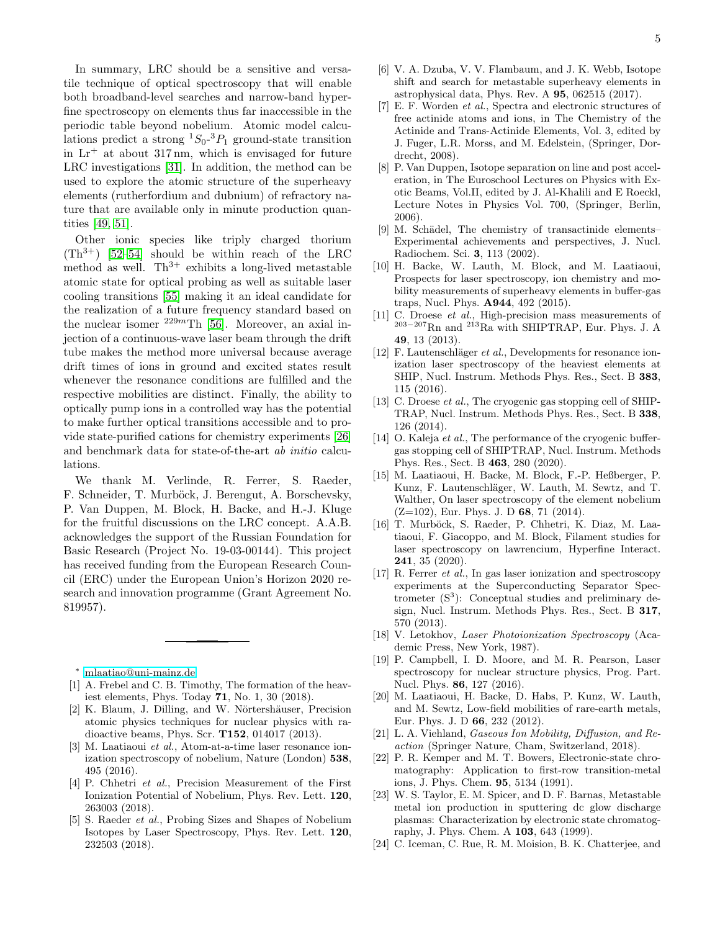In summary, LRC should be a sensitive and versatile technique of optical spectroscopy that will enable both broadband-level searches and narrow-band hyperfine spectroscopy on elements thus far inaccessible in the periodic table beyond nobelium. Atomic model calculations predict a strong  ${}^{1}S_{0}$ - ${}^{3}P_{1}$  ground-state transition in  $Lr^+$  at about 317 nm, which is envisaged for future LRC investigations [\[31\]](#page-5-3). In addition, the method can be used to explore the atomic structure of the superheavy elements (rutherfordium and dubnium) of refractory nature that are available only in minute production quantities [\[49,](#page-5-22) [51\]](#page-5-24).

Other ionic species like triply charged thorium  $(Th^{3+})$  [\[52](#page-5-25)[–54\]](#page-5-26) should be within reach of the LRC method as well.  $Th^{3+}$  exhibits a long-lived metastable atomic state for optical probing as well as suitable laser cooling transitions [\[55\]](#page-5-27) making it an ideal candidate for the realization of a future frequency standard based on the nuclear isomer  $^{229m}$ Th [\[56\]](#page-5-28). Moreover, an axial injection of a continuous-wave laser beam through the drift tube makes the method more universal because average drift times of ions in ground and excited states result whenever the resonance conditions are fulfilled and the respective mobilities are distinct. Finally, the ability to optically pump ions in a controlled way has the potential to make further optical transitions accessible and to provide state-purified cations for chemistry experiments [\[26\]](#page-5-29) and benchmark data for state-of-the-art ab initio calculations.

We thank M. Verlinde, R. Ferrer, S. Raeder, F. Schneider, T. Murböck, J. Berengut, A. Borschevsky, P. Van Duppen, M. Block, H. Backe, and H.-J. Kluge for the fruitful discussions on the LRC concept. A.A.B. acknowledges the support of the Russian Foundation for Basic Research (Project No. 19-03-00144). This project has received funding from the European Research Council (ERC) under the European Union's Horizon 2020 research and innovation programme (Grant Agreement No. 819957).

<span id="page-4-0"></span><sup>∗</sup> [mlaatiao@uni-mainz.de](mailto:mlaatiao@uni-mainz.de)

- <span id="page-4-1"></span>[1] A. Frebel and C. B. Timothy, The formation of the heaviest elements, Phys. Today 71, No. 1, 30 (2018).
- <span id="page-4-2"></span>[2] K. Blaum, J. Dilling, and W. Nörtershäuser, Precision atomic physics techniques for nuclear physics with radioactive beams, Phys. Scr. T152, 014017 (2013).
- <span id="page-4-3"></span>[3] M. Laatiaoui et al., Atom-at-a-time laser resonance ionization spectroscopy of nobelium, Nature (London) 538, 495 (2016).
- <span id="page-4-4"></span>[4] P. Chhetri et al., Precision Measurement of the First Ionization Potential of Nobelium, Phys. Rev. Lett. 120, 263003 (2018).
- <span id="page-4-5"></span>[5] S. Raeder et al., Probing Sizes and Shapes of Nobelium Isotopes by Laser Spectroscopy, Phys. Rev. Lett. 120, 232503 (2018).
- <span id="page-4-6"></span>[6] V. A. Dzuba, V. V. Flambaum, and J. K. Webb, Isotope shift and search for metastable superheavy elements in astrophysical data, Phys. Rev. A 95, 062515 (2017).
- <span id="page-4-7"></span>[7] E. F. Worden et al., Spectra and electronic structures of free actinide atoms and ions, in The Chemistry of the Actinide and Trans-Actinide Elements, Vol. 3, edited by J. Fuger, L.R. Morss, and M. Edelstein, (Springer, Dordrecht, 2008).
- <span id="page-4-8"></span>[8] P. Van Duppen, Isotope separation on line and post acceleration, in The Euroschool Lectures on Physics with Exotic Beams, Vol.II, edited by J. Al-Khalili and E Roeckl, Lecture Notes in Physics Vol. 700, (Springer, Berlin, 2006).
- <span id="page-4-9"></span>[9] M. Schädel, The chemistry of transactinide elements– Experimental achievements and perspectives, J. Nucl. Radiochem. Sci. 3, 113 (2002).
- <span id="page-4-10"></span>[10] H. Backe, W. Lauth, M. Block, and M. Laatiaoui, Prospects for laser spectroscopy, ion chemistry and mobility measurements of superheavy elements in buffer-gas traps, Nucl. Phys. A944, 492 (2015).
- <span id="page-4-11"></span>[11] C. Droese et al., High-precision mass measurements of <sup>203</sup>−<sup>207</sup>Rn and <sup>213</sup>Ra with SHIPTRAP, Eur. Phys. J. A 49, 13 (2013).
- [12] F. Lautenschläger *et al.*, Developments for resonance ionization laser spectroscopy of the heaviest elements at SHIP, Nucl. Instrum. Methods Phys. Res., Sect. B 383, 115 (2016).
- <span id="page-4-22"></span>[13] C. Droese *et al.*, The cryogenic gas stopping cell of SHIP-TRAP, Nucl. Instrum. Methods Phys. Res., Sect. B 338, 126 (2014).
- <span id="page-4-12"></span>[14] O. Kaleja *et al.*, The performance of the cryogenic buffergas stopping cell of SHIPTRAP, Nucl. Instrum. Methods Phys. Res., Sect. B 463, 280 (2020).
- <span id="page-4-13"></span>[15] M. Laatiaoui, H. Backe, M. Block, F.-P. Heßberger, P. Kunz, F. Lautenschläger, W. Lauth, M. Sewtz, and T. Walther, On laser spectroscopy of the element nobelium  $(Z=102)$ , Eur. Phys. J. D 68, 71 (2014).
- <span id="page-4-14"></span>[16] T. Murböck, S. Raeder, P. Chhetri, K. Diaz, M. Laatiaoui, F. Giacoppo, and M. Block, Filament studies for laser spectroscopy on lawrencium, Hyperfine Interact. 241, 35 (2020).
- <span id="page-4-15"></span>[17] R. Ferrer et al., In gas laser ionization and spectroscopy experiments at the Superconducting Separator Spectrometer  $(S^3)$ : Conceptual studies and preliminary design, Nucl. Instrum. Methods Phys. Res., Sect. B 317, 570 (2013).
- <span id="page-4-16"></span>[18] V. Letokhov, Laser Photoionization Spectroscopy (Academic Press, New York, 1987).
- <span id="page-4-17"></span>[19] P. Campbell, I. D. Moore, and M. R. Pearson, Laser spectroscopy for nuclear structure physics, Prog. Part. Nucl. Phys. 86, 127 (2016).
- <span id="page-4-18"></span>[20] M. Laatiaoui, H. Backe, D. Habs, P. Kunz, W. Lauth, and M. Sewtz, Low-field mobilities of rare-earth metals, Eur. Phys. J. D 66, 232 (2012).
- <span id="page-4-19"></span>[21] L. A. Viehland, Gaseous Ion Mobility, Diffusion, and Reaction (Springer Nature, Cham, Switzerland, 2018).
- <span id="page-4-20"></span>[22] P. R. Kemper and M. T. Bowers, Electronic-state chromatography: Application to first-row transition-metal ions, J. Phys. Chem. 95, 5134 (1991).
- <span id="page-4-21"></span>[23] W. S. Taylor, E. M. Spicer, and D. F. Barnas, Metastable metal ion production in sputtering dc glow discharge plasmas: Characterization by electronic state chromatography, J. Phys. Chem. A 103, 643 (1999).
- <span id="page-4-23"></span>[24] C. Iceman, C. Rue, R. M. Moision, B. K. Chatterjee, and